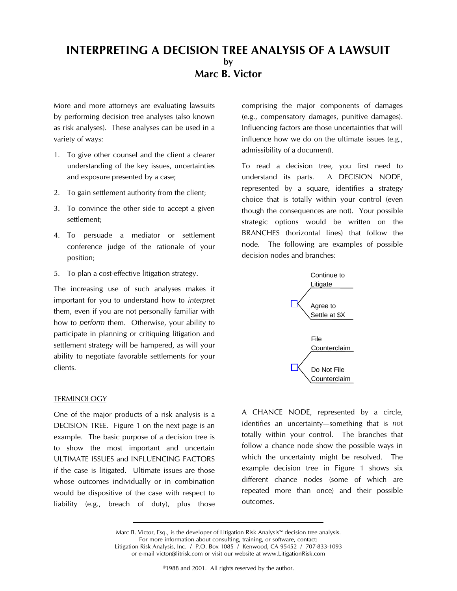# INTERPRETING A DECISION TREE ANALYSIS OF A LAWSUIT by Marc B. Victor

More and more attorneys are evaluating lawsuits by performing decision tree analyses (also known as risk analyses). These analyses can be used in a variety of ways:

- 1. To give other counsel and the client a clearer understanding of the key issues, uncertainties and exposure presented by a case;
- 2. To gain settlement authority from the client;
- 3. To convince the other side to accept a given settlement;
- 4. To persuade a mediator or settlement conference judge of the rationale of your position;
- 5. To plan a cost-effective litigation strategy.

The increasing use of such analyses makes it important for you to understand how to interpret them, even if you are not personally familiar with how to perform them. Otherwise, your ability to participate in planning or critiquing litigation and settlement strategy will be hampered, as will your ability to negotiate favorable settlements for your clients.

# **TERMINOLOGY**

One of the major products of a risk analysis is a DECISION TREE. Figure 1 on the next page is an example. The basic purpose of a decision tree is to show the most important and uncertain ULTIMATE ISSUES and INFLUENCING FACTORS if the case is litigated. Ultimate issues are those whose outcomes individually or in combination would be dispositive of the case with respect to liability (e.g., breach of duty), plus those

comprising the major components of damages (e.g., compensatory damages, punitive damages). Influencing factors are those uncertainties that will influence how we do on the ultimate issues (e.g., admissibility of a document).

To read a decision tree, you first need to understand its parts. A DECISION NODE, represented by a square, identifies a strategy choice that is totally within your control (even though the consequences are not). Your possible strategic options would be written on the BRANCHES (horizontal lines) that follow the node. The following are examples of possible decision nodes and branches:



A CHANCE NODE, represented by a circle, identifies an uncertainty-something that is not totally within your control. The branches that follow a chance node show the possible ways in which the uncertainty might be resolved. The example decision tree in Figure 1 shows six different chance nodes (some of which are repeated more than once) and their possible outcomes.

Marc B. Victor, Esq., is the developer of Litigation Risk Analysis<sup>™</sup> decision tree analysis. For more information about consulting, training, or software, contact: Litigation Risk Analysis, Inc. / P.O. Box 1085 / Kenwood, CA 95452 / 707-833-1093 or e-mail victor@litrisk.com or visit our website at www.LitigationRisk.com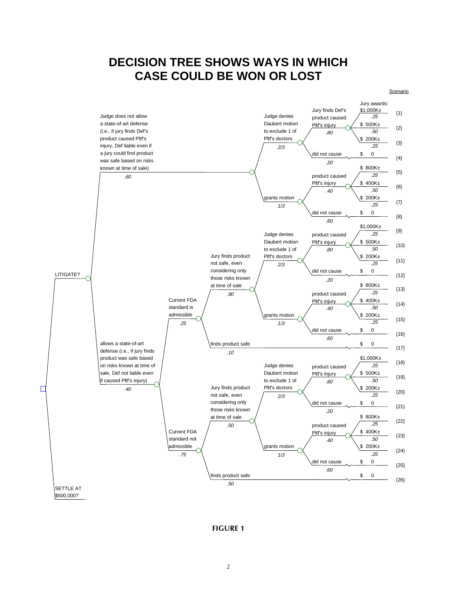# **DECISION TREE SHOWS WAYS IN WHICH CASE COULD BE WON OR LOST**



### FIGURE 1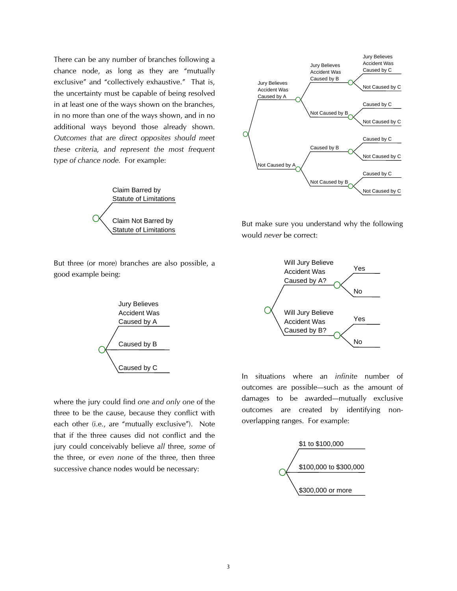There can be any number of branches following a chance node, as long as they are "mutually exclusive" and "collectively exhaustive." That is, the uncertainty must be capable of being resolved in at least one of the ways shown on the branches, in no more than one of the ways shown, and in no additional ways beyond those already shown. Outcomes that are direct opposites should meet these criteria, and represent the most frequent type of chance node. For example:



But three (or more) branches are also possible, a good example being:



where the jury could find one and only one of the three to be the cause, because they conflict with each other (i.e., are "mutually exclusive"). Note that if the three causes did not conflict and the jury could conceivably believe all three, some of the three, or even none of the three, then three successive chance nodes would be necessary:



But make sure you understand why the following would never be correct:



In situations where an infinite number of outcomes are possible-such as the amount of damages to be awarded-mutually exclusive outcomes are created by identifying nonoverlapping ranges. For example:

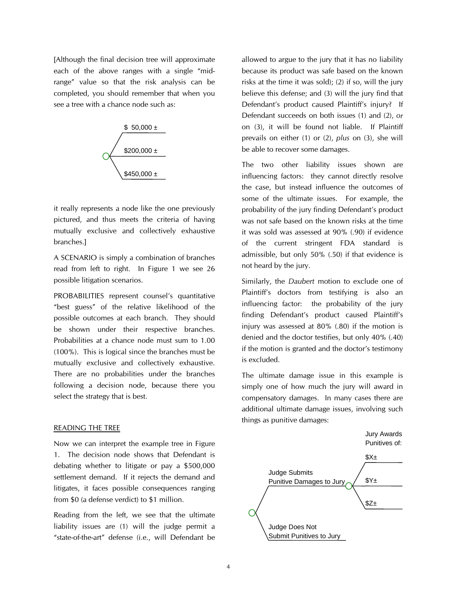[Although the final decision tree will approximate each of the above ranges with a single "midrange" value so that the risk analysis can be completed, you should remember that when you see a tree with a chance node such as:



it really represents a node like the one previously pictured, and thus meets the criteria of having mutually exclusive and collectively exhaustive branches.]

A SCENARIO is simply a combination of branches read from left to right. In Figure 1 we see 26 possible litigation scenarios.

PROBABILITIES represent counsel's quantitative "best guess" of the relative likelihood of the possible outcomes at each branch. They should be shown under their respective branches. Probabilities at a chance node must sum to 1.00 (100%). This is logical since the branches must be mutually exclusive and collectively exhaustive. There are no probabilities under the branches following a decision node, because there you select the strategy that is best.

### READING THE TREE

Now we can interpret the example tree in Figure 1. The decision node shows that Defendant is debating whether to litigate or pay a \$500,000 settlement demand. If it rejects the demand and litigates, it faces possible consequences ranging from \$0 (a defense verdict) to \$1 million.

Reading from the left, we see that the ultimate liability issues are (1) will the judge permit a "state-of-the-art" defense (i.e., will Defendant be allowed to argue to the jury that it has no liability because its product was safe based on the known risks at the time it was sold); (2) if so, will the jury believe this defense; and (3) will the jury find that Defendant's product caused Plaintiff's injury? If Defendant succeeds on both issues (1) and (2), or on (3), it will be found not liable. If Plaintiff prevails on either (1) or (2), plus on (3), she will be able to recover some damages.

The two other liability issues shown are influencing factors: they cannot directly resolve the case, but instead influence the outcomes of some of the ultimate issues. For example, the probability of the jury finding Defendant's product was not safe based on the known risks at the time it was sold was assessed at 90% (.90) if evidence of the current stringent FDA standard is admissible, but only 50% (.50) if that evidence is not heard by the jury.

Similarly, the Daubert motion to exclude one of Plaintiff's doctors from testifying is also an influencing factor: the probability of the jury finding Defendant's product caused Plaintiff's injury was assessed at 80% (.80) if the motion is denied and the doctor testifies, but only 40% (.40) if the motion is granted and the doctor's testimony is excluded.

The ultimate damage issue in this example is simply one of how much the jury will award in compensatory damages. In many cases there are additional ultimate damage issues, involving such things as punitive damages:

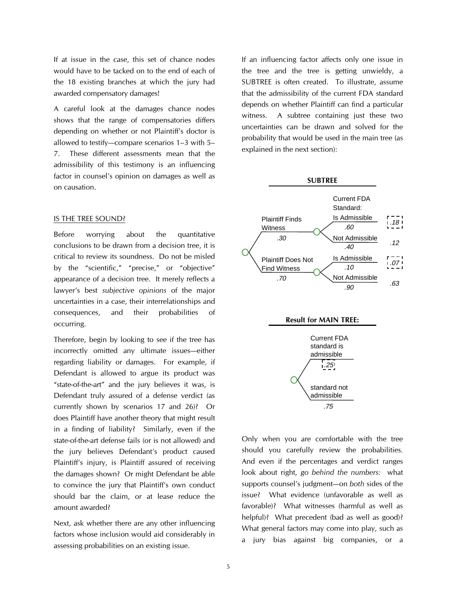If at issue in the case, this set of chance nodes would have to be tacked on to the end of each of the 18 existing branches at which the jury had awarded compensatory damages!

A careful look at the damages chance nodes shows that the range of compensatories differs depending on whether or not Plaintiff's doctor is allowed to testify-compare scenarios  $1-3$  with  $5-$ 7. These different assessments mean that the admissibility of this testimony is an influencing factor in counsel's opinion on damages as well as on causation.

#### IS THE TREE SOUND?

Before worrying about the quantitative conclusions to be drawn from a decision tree, it is critical to review its soundness. Do not be misled by the "scientific," "precise," or "objective" appearance of a decision tree. It merely reflects a lawyer's best subjective opinions of the major uncertainties in a case, their interrelationships and consequences, and their probabilities of occurring.

Therefore, begin by looking to see if the tree has incorrectly omitted any ultimate issues-either regarding liability or damages. For example, if Defendant is allowed to argue its product was "state-of-the-art" and the jury believes it was, is Defendant truly assured of a defense verdict (as currently shown by scenarios 17 and 26)? Or does Plaintiff have another theory that might result in a finding of liability? Similarly, even if the state-of-the-art defense fails (or is not allowed) and the jury believes Defendant's product caused Plaintiff's injury, is Plaintiff assured of receiving the damages shown? Or might Defendant be able to convince the jury that Plaintiff's own conduct should bar the claim, or at lease reduce the amount awarded?

Next, ask whether there are any other influencing factors whose inclusion would aid considerably in assessing probabilities on an existing issue.

If an influencing factor affects only one issue in the tree and the tree is getting unwieldy, a SUBTREE is often created. To illustrate, assume that the admissibility of the current FDA standard depends on whether Plaintiff can find a particular witness. A subtree containing just these two uncertainties can be drawn and solved for the probability that would be used in the main tree (as explained in the next section):

SUBTREE





Only when you are comfortable with the tree should you carefully review the probabilities. And even if the percentages and verdict ranges look about right, go behind the numbers: what supports counsel's judgment-on both sides of the issue? What evidence (unfavorable as well as favorable)? What witnesses (harmful as well as helpful)? What precedent (bad as well as good)? What general factors may come into play, such as a jury bias against big companies, or a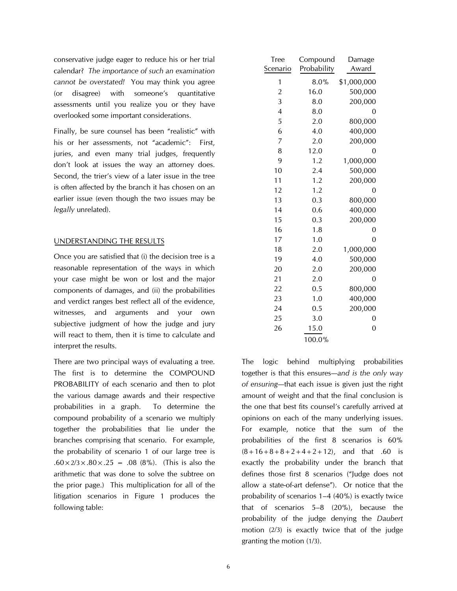conservative judge eager to reduce his or her trial calendar? The importance of such an examination cannot be overstated! You may think you agree (or disagree) with someone's quantitative assessments until you realize you or they have overlooked some important considerations.

Finally, be sure counsel has been "realistic" with his or her assessments, not "academic": First, juries, and even many trial judges, frequently don't look at issues the way an attorney does. Second, the trier's view of a later issue in the tree is often affected by the branch it has chosen on an earlier issue (even though the two issues may be legally unrelated).

# UNDERSTANDING THE RESULTS

Once you are satisfied that (i) the decision tree is a reasonable representation of the ways in which your case might be won or lost and the major components of damages, and (ii) the probabilities and verdict ranges best reflect all of the evidence, witnesses, and arguments and your own subjective judgment of how the judge and jury will react to them, then it is time to calculate and interpret the results.

There are two principal ways of evaluating a tree. The first is to determine the COMPOUND PROBABILITY of each scenario and then to plot the various damage awards and their respective probabilities in a graph. To determine the compound probability of a scenario we multiply together the probabilities that lie under the branches comprising that scenario. For example, the probability of scenario 1 of our large tree is  $.60 \times 2/3 \times .80 \times .25 = .08$  (8%). (This is also the arithmetic that was done to solve the subtree on the prior page.) This multiplication for all of the litigation scenarios in Figure 1 produces the following table:

| Tree                    | Compound    | Damage         |
|-------------------------|-------------|----------------|
| Scenario                | Probability | Award          |
| 1                       | 8.0%        | \$1,000,000    |
| $\overline{\mathbf{c}}$ | 16.0        | 500,000        |
| 3                       | 8.0         | 200,000        |
| $\overline{4}$          | 8.0         | $\overline{0}$ |
| 5                       | 2.0         | 800,000        |
| 6                       | 4.0         | 400,000        |
| 7                       | 2.0         | 200,000        |
| 8                       | 12.0        | $\overline{0}$ |
| 9                       | 1.2         | 1,000,000      |
| 10                      | 2.4         | 500,000        |
| 11                      | 1.2         | 200,000        |
| 12                      | 1.2         | 0              |
| 13                      | 0.3         | 800,000        |
| 14                      | 0.6         | 400,000        |
| 15                      | 0.3         | 200,000        |
| 16                      | 1.8         | $\overline{0}$ |
| 17                      | 1.0         | $\overline{0}$ |
| 18                      | 2.0         | 1,000,000      |
| 19                      | 4.0         | 500,000        |
| 20                      | 2.0         | 200,000        |
| 21                      | 2.0         | $\overline{0}$ |
| 22                      | 0.5         | 800,000        |
| 23                      | 1.0         | 400,000        |
| 24                      | 0.5         | 200,000        |
| 25                      | 3.0         | $\mathbf 0$    |
| 26                      | 15.0        | $\overline{0}$ |
|                         | 100.0%      |                |

The logic behind multiplying probabilities together is that this ensures—and is the only way of ensuring—that each issue is given just the right amount of weight and that the final conclusion is the one that best fits counsel's carefully arrived at opinions on each of the many underlying issues. For example, notice that the sum of the probabilities of the first 8 scenarios is 60%  $(8+16+8+8+2+4+2+12)$ , and that .60 is exactly the probability under the branch that defines those first 8 scenarios ("Judge does not allow a state-of-art defense"). Or notice that the probability of scenarios  $1-4$  (40%) is exactly twice that of scenarios  $5-8$  (20%), because the probability of the judge denying the Daubert motion (2/3) is exactly twice that of the judge granting the motion (1/3).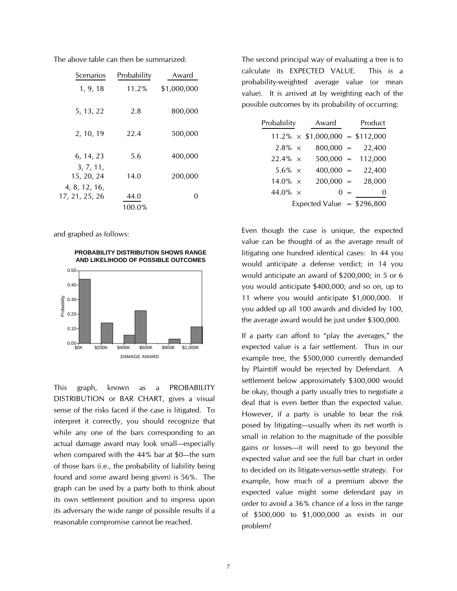| Scenarios                       | Probability | Award       |
|---------------------------------|-------------|-------------|
| 1, 9, 18                        | 11.2%       | \$1,000,000 |
| 5, 13, 22                       | 2.8         | 800,000     |
| 2, 10, 19                       | 22.4        | 500,000     |
| 6, 14, 23                       | 5.6         | 400,000     |
| 3, 7, 11,<br>15, 20, 24         | 14.0        | 200,000     |
| 4, 8, 12, 16,<br>17, 21, 25, 26 | 44.0        |             |
|                                 | 100.0%      |             |

The above table can then be summarized:

and graphed as follows:

**PROBABILITY DISTRIBUTION SHOWS RANGE AND LIKELIHOOD OF POSSIBLE OUTCOMES**



This graph, known as a PROBABILITY DISTRIBUTION or BAR CHART, gives a visual sense of the risks faced if the case is litigated. To interpret it correctly, you should recognize that while any one of the bars corresponding to an actual damage award may look small-especially when compared with the  $44\%$  bar at \$0-the sum of those bars (i.e., the probability of liability being found and some award being given) is 56%. The graph can be used by a party both to think about its own settlement position and to impress upon its adversary the wide range of possible results if a reasonable compromise cannot be reached.

The second principal way of evaluating a tree is to calculate its EXPECTED VALUE. This is a probability-weighted average value (or mean value). It is arrived at by weighting each of the possible outcomes by its probability of occurring:

| Probability     | Award                                   |       | Product             |
|-----------------|-----------------------------------------|-------|---------------------|
|                 | $11.2\% \times \$1,000,000 = \$112,000$ |       |                     |
| $2.8\% \times$  | $800,000 =$                             |       | 22,400              |
| $22.4\% \times$ |                                         |       | $500,000 = 112,000$ |
| 5.6% $\times$   | $400,000 =$                             |       | 22,400              |
| $14.0\% \times$ | $200,000 =$                             |       | 28,000              |
| 44.0% $\times$  |                                         | $0 =$ | $\theta$            |
|                 | Expected Value = $$296,800$             |       |                     |

Even though the case is unique, the expected value can be thought of as the average result of litigating one hundred identical cases: In 44 you would anticipate a defense verdict; in 14 you would anticipate an award of \$200,000; in 5 or 6 you would anticipate \$400,000; and so on, up to 11 where you would anticipate \$1,000,000. If you added up all 100 awards and divided by 100, the average award would be just under \$300,000.

If a party can afford to "play the averages," the expected value is a fair settlement. Thus in our example tree, the \$500,000 currently demanded by Plaintiff would be rejected by Defendant. A settlement below approximately \$300,000 would be okay, though a party usually tries to negotiate a deal that is even better than the expected value. However, if a party is unable to bear the risk posed by litigating—usually when its net worth is small in relation to the magnitude of the possible gains or losses—it will need to go beyond the expected value and see the full bar chart in order to decided on its litigate-versus-settle strategy. For example, how much of a premium above the expected value might some defendant pay in order to avoid a 36% chance of a loss in the range of \$500,000 to \$1,000,000 as exists in our problem?